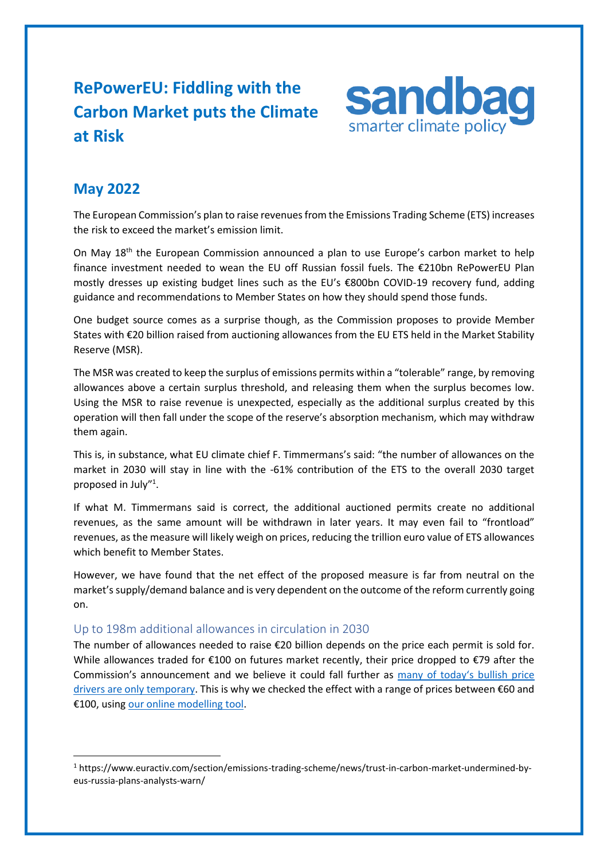# **RePowerEU: Fiddling with the Carbon Market puts the Climate at Risk**



# **May 2022**

The European Commission's plan to raise revenues from the Emissions Trading Scheme (ETS) increases the risk to exceed the market's emission limit.

On May 18<sup>th</sup> the European Commission announced a plan to use Europe's carbon market to help finance investment needed to wean the EU off Russian fossil fuels. The €210bn RePowerEU Plan mostly dresses up existing budget lines such as the EU's €800bn COVID-19 recovery fund, adding guidance and recommendations to Member States on how they should spend those funds.

One budget source comes as a surprise though, as the Commission proposes to provide Member States with €20 billion raised from auctioning allowances from the EU ETS held in the Market Stability Reserve (MSR).

The MSR was created to keep the surplus of emissions permits within a "tolerable" range, by removing allowances above a certain surplus threshold, and releasing them when the surplus becomes low. Using the MSR to raise revenue is unexpected, especially as the additional surplus created by this operation will then fall under the scope of the reserve's absorption mechanism, which may withdraw them again.

This is, in substance, what EU climate chief F. Timmermans's said: "the number of allowances on the market in 2030 will stay in line with the -61% contribution of the ETS to the overall 2030 target proposed in July"<sup>1</sup>.

If what M. Timmermans said is correct, the additional auctioned permits create no additional revenues, as the same amount will be withdrawn in later years. It may even fail to "frontload" revenues, as the measure will likely weigh on prices, reducing the trillion euro value of ETS allowances which benefit to Member States.

However, we have found that the net effect of the proposed measure is far from neutral on the market's supply/demand balance and is very dependent on the outcome of the reform currently going on.

# Up to 198m additional allowances in circulation in 2030

The number of allowances needed to raise €20 billion depends on the price each permit is sold for. While allowances traded for €100 on futures market recently, their price dropped to €79 after the Commission's announcement and we believe it could fall further as many of today's [bullish price](https://sandbag.be/index.php/2021/09/30/impact-of-eu-ets-reform-letting-industry-loose/)  [drivers are only](https://sandbag.be/index.php/2021/09/30/impact-of-eu-ets-reform-letting-industry-loose/) temporary. This is why we checked the effect with a range of prices between €60 and €100, using [our online modelling tool.](https://sandbag.be/index.php/euets-simulator/)

<sup>1</sup> https://www.euractiv.com/section/emissions-trading-scheme/news/trust-in-carbon-market-undermined-byeus-russia-plans-analysts-warn/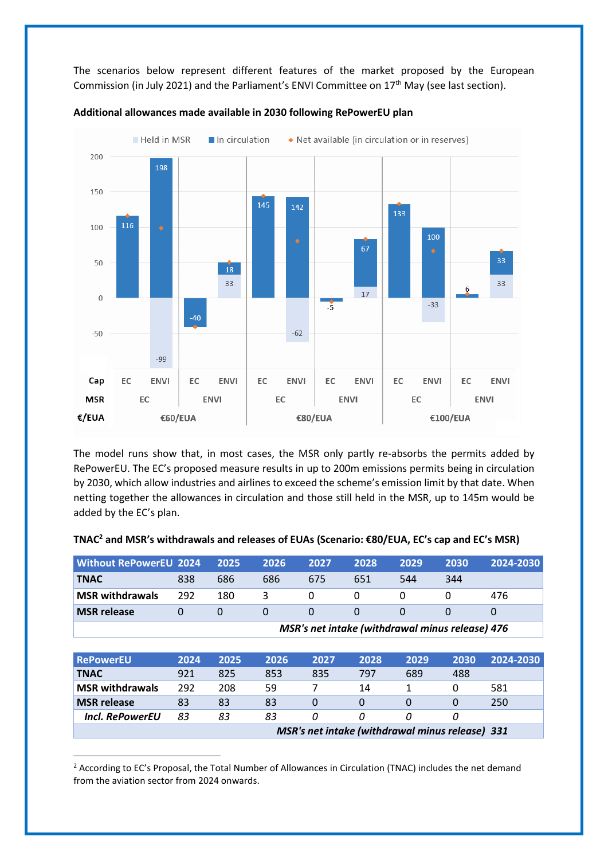The scenarios below represent different features of the market proposed by the European Commission (in July 2021) and the Parliament's ENVI Committee on 17th May (see last section).





The model runs show that, in most cases, the MSR only partly re-absorbs the permits added by RePowerEU. The EC's proposed measure results in up to 200m emissions permits being in circulation by 2030, which allow industries and airlines to exceed the scheme's emission limit by that date. When netting together the allowances in circulation and those still held in the MSR, up to 145m would be added by the EC's plan.

| Without RePowerEU 2024 |                                                 | 2025 | 2026 | 2027 | 2028 | 2029 | 2030 | 2024-2030 |
|------------------------|-------------------------------------------------|------|------|------|------|------|------|-----------|
| TNAC                   | 838                                             | 686  | 686  | 675  | 651  | 544  | 344  |           |
| <b>MSR withdrawals</b> | 292                                             | 180  | 3    |      |      |      |      | 476       |
| <b>MSR release</b>     | $\Omega$                                        |      |      |      |      |      |      |           |
|                        | MSR's net intake (withdrawal minus release) 476 |      |      |      |      |      |      |           |
|                        |                                                 |      |      |      |      |      |      |           |

#### **TNAC<sup>2</sup> and MSR's withdrawals and releases of EUAs (Scenario: €80/EUA, EC's cap and EC's MSR)**

| <b>RePowerEU</b>                                | 2024 | 2025 | 2026 | 2027 | 2028 | 2029 | 2030 | 2024-2030 |
|-------------------------------------------------|------|------|------|------|------|------|------|-----------|
| <b>TNAC</b>                                     | 921  | 825  | 853  | 835  | 797  | 689  | 488  |           |
| <b>MSR</b> withdrawals                          | 292  | 208  | 59   |      | 14   |      |      | 581       |
| <b>MSR</b> release                              | 83   | 83   | 83   | 0    |      |      |      | 250       |
| Incl. RePowerEU                                 | 83   | 83   | 83   | 0    |      |      |      |           |
| MSR's net intake (withdrawal minus release) 331 |      |      |      |      |      |      |      |           |

<sup>&</sup>lt;sup>2</sup> According to EC's Proposal, the Total Number of Allowances in Circulation (TNAC) includes the net demand from the aviation sector from 2024 onwards.